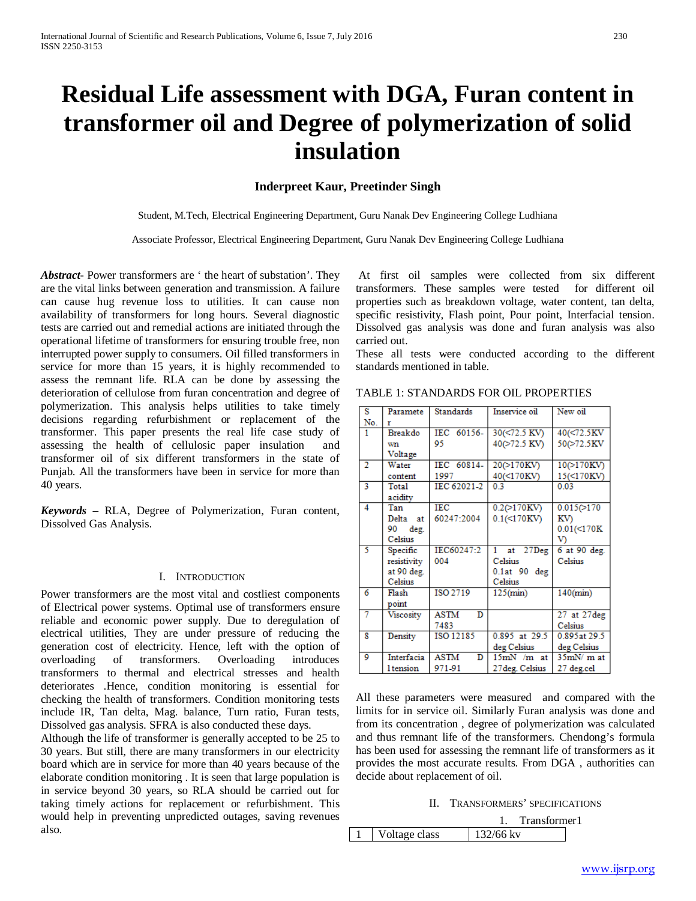# **Residual Life assessment with DGA, Furan content in transformer oil and Degree of polymerization of solid insulation**

# **Inderpreet Kaur, Preetinder Singh**

Student, M.Tech, Electrical Engineering Department, Guru Nanak Dev Engineering College Ludhiana

Associate Professor, Electrical Engineering Department, Guru Nanak Dev Engineering College Ludhiana

*Abstract***-** Power transformers are ' the heart of substation'. They are the vital links between generation and transmission. A failure can cause hug revenue loss to utilities. It can cause non availability of transformers for long hours. Several diagnostic tests are carried out and remedial actions are initiated through the operational lifetime of transformers for ensuring trouble free, non interrupted power supply to consumers. Oil filled transformers in service for more than 15 years, it is highly recommended to assess the remnant life. RLA can be done by assessing the deterioration of cellulose from furan concentration and degree of polymerization. This analysis helps utilities to take timely decisions regarding refurbishment or replacement of the transformer. This paper presents the real life case study of assessing the health of cellulosic paper insulation and transformer oil of six different transformers in the state of Punjab. All the transformers have been in service for more than 40 years.

*Keywords* – RLA, Degree of Polymerization, Furan content, Dissolved Gas Analysis.

## I. INTRODUCTION

Power transformers are the most vital and costliest components of Electrical power systems. Optimal use of transformers ensure reliable and economic power supply. Due to deregulation of electrical utilities, They are under pressure of reducing the generation cost of electricity. Hence, left with the option of overloading of transformers. Overloading introduces transformers to thermal and electrical stresses and health deteriorates .Hence, condition monitoring is essential for checking the health of transformers. Condition monitoring tests include IR, Tan delta, Mag. balance, Turn ratio, Furan tests, Dissolved gas analysis. SFRA is also conducted these days.

Although the life of transformer is generally accepted to be 25 to 30 years. But still, there are many transformers in our electricity board which are in service for more than 40 years because of the elaborate condition monitoring . It is seen that large population is in service beyond 30 years, so RLA should be carried out for taking timely actions for replacement or refurbishment. This would help in preventing unpredicted outages, saving revenues also.

At first oil samples were collected from six different transformers. These samples were tested for different oil properties such as breakdown voltage, water content, tan delta, specific resistivity, Flash point, Pour point, Interfacial tension. Dissolved gas analysis was done and furan analysis was also carried out.

These all tests were conducted according to the different standards mentioned in table.

| $\overline{\mathbf{s}}$ | Paramete         | Standards        | Inservice oil     | New oil          |  |
|-------------------------|------------------|------------------|-------------------|------------------|--|
| No.                     | r                |                  |                   |                  |  |
| 1                       | Breakdo          | IEC 60156-       | 30(<72.5 KV)      | 40(<72.5KV       |  |
|                         | wn               | 95               | 40(>72.5 KV)      | 50(>72.5KV       |  |
|                         | Voltage          |                  |                   |                  |  |
| $\overline{2}$          | Water            | IEC 60814-       | 20(>170KV)        | 10(>170KV)       |  |
|                         | content          | 1997             | 40(<170KV)        | 15(<170KV)       |  |
| 3                       | Total            | IEC 62021-2      | 03                | 0.03             |  |
|                         | acidity          |                  |                   |                  |  |
| $\overline{4}$          | Tan              | <b>IEC</b>       | $0.2(>170$ KV)    | 0.015(>170       |  |
|                         | Delta at         | 60247:2004       | 0.1(<170KV)       | KV)              |  |
|                         | 90<br>deg.       |                  |                   | $0.01$ (<170K    |  |
|                         | Celsius          |                  |                   | V)               |  |
| 5                       | Specific         | IEC60247:2       | at 27Deg<br>1     | 6 at 90 deg.     |  |
|                         | resistivity      | 004              | Celsius           | Celsius          |  |
|                         | at 90 deg.       |                  | $0.1$ at $90$ deg |                  |  |
|                         | Celsius          |                  | Celsius           |                  |  |
| 6                       | Flash            | ISO 2719         | $125$ (min)       | $140$ (min)      |  |
|                         | point            |                  |                   |                  |  |
| 7                       | Viscosity        | <b>ASTM</b><br>D |                   | $27$ at $27$ deg |  |
|                         |                  | 7483             |                   | Celsius          |  |
| 8                       | Density          | ISO 12185        | 0.895 at 29.5     | 0.895at 29.5     |  |
|                         |                  |                  | deg Celsius       | deg Celsius      |  |
| 9                       | Interfacia       | <b>ASTM</b><br>D | $15mN/m$ at       | $35mN/m$ at      |  |
|                         | <b>l</b> tension | 971-91           | 27 deg. Celsius   | 27 deg.cel       |  |

TABLE 1: STANDARDS FOR OIL PROPERTIES

All these parameters were measured and compared with the limits for in service oil. Similarly Furan analysis was done and from its concentration , degree of polymerization was calculated and thus remnant life of the transformers. Chendong's formula has been used for assessing the remnant life of transformers as it provides the most accurate results. From DGA , authorities can decide about replacement of oil.

II. TRANSFORMERS' SPECIFICATIONS

|               | Transformer1 |  |
|---------------|--------------|--|
| Voltage class | 132/66 kv    |  |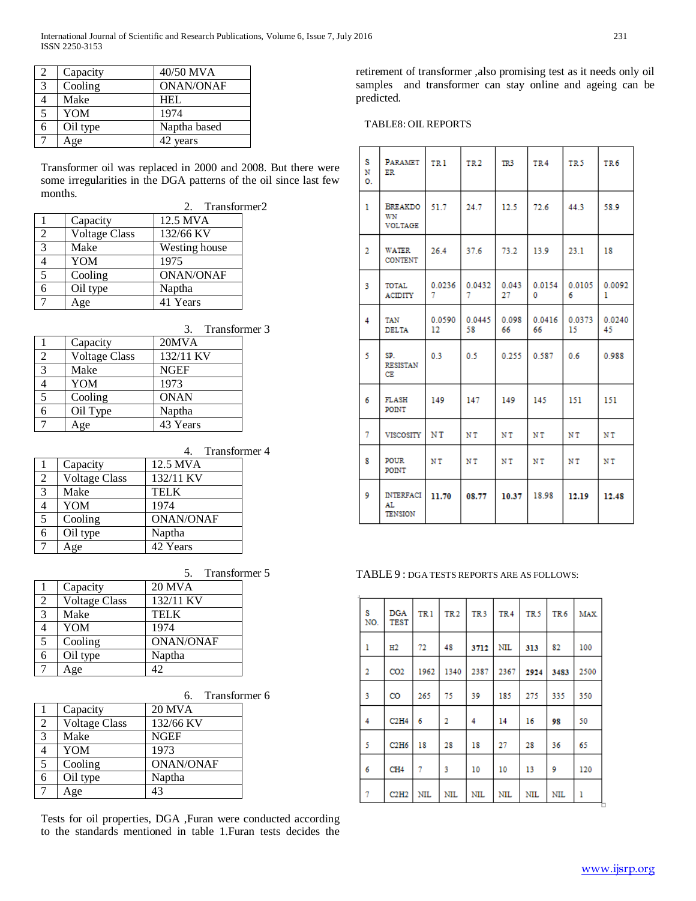|   | Capacity | 40/50 MVA        |
|---|----------|------------------|
| 3 | Cooling  | <b>ONAN/ONAF</b> |
|   | Make     | <b>HEL</b>       |
| 5 | YOM      | 1974             |
| 6 | Oil type | Naptha based     |
|   | Age      | 42 years         |

Transformer oil was replaced in 2000 and 2008. But there were some irregularities in the DGA patterns of the oil since last few months.

|                |                      | 2. Transformer2  |  |
|----------------|----------------------|------------------|--|
|                | Capacity             | 12.5 MVA         |  |
| $\mathfrak{D}$ | <b>Voltage Class</b> | 132/66 KV        |  |
| 3              | Make                 | Westing house    |  |
|                | YOM                  | 1975             |  |
| 5              | Cooling              | <b>ONAN/ONAF</b> |  |
|                | Oil type             | Naptha           |  |
|                | ge                   | 41 Years         |  |

|                             |                      | 3. Transformer 3 |  |
|-----------------------------|----------------------|------------------|--|
|                             | Capacity             | 20MVA            |  |
| $\mathcal{D}_{\mathcal{L}}$ | <b>Voltage Class</b> | 132/11 KV        |  |
| 3                           | Make                 | <b>NGEF</b>      |  |
|                             | YOM                  | 1973             |  |
| 5                           | Cooling              | <b>ONAN</b>      |  |
|                             | Oil Type             | Naptha           |  |
|                             | <b>sge</b>           | 43 Years         |  |

|                |                      | Transformer 4    |  |
|----------------|----------------------|------------------|--|
|                | Capacity             | 12.5 MVA         |  |
| $\overline{2}$ | <b>Voltage Class</b> | 132/11 KV        |  |
| 3              | Make                 | <b>TELK</b>      |  |
| $\overline{4}$ | YOM                  | 1974             |  |
| 5              | Cooling              | <b>ONAN/ONAF</b> |  |
| 6              | Oil type             | Naptha           |  |
|                | <sub>1</sub> ge      | 42 Years         |  |

|                          |                      | Transformer 5    |  |
|--------------------------|----------------------|------------------|--|
|                          | Capacity             | <b>20 MVA</b>    |  |
| 2                        | <b>Voltage Class</b> | 132/11 KV        |  |
| $\overline{3}$           | Make                 | <b>TELK</b>      |  |
| $\overline{\mathcal{L}}$ | YOM                  | 1974             |  |
| 5                        | Cooling              | <b>ONAN/ONAF</b> |  |
| 6                        | Oil type             | Naptha           |  |
| 7                        | Age                  |                  |  |

|                |                      | 6. Transformer 6 |  |
|----------------|----------------------|------------------|--|
|                | Capacity             | <b>20 MVA</b>    |  |
| $\overline{2}$ | <b>Voltage Class</b> | 132/66 KV        |  |
| 3              | Make                 | <b>NGEF</b>      |  |
|                | YOM                  | 1973             |  |
| 5              | Cooling              | <b>ONAN/ONAF</b> |  |
|                | Oil type             | Naptha           |  |
|                | Age                  | 43               |  |

Tests for oil properties, DGA ,Furan were conducted according to the standards mentioned in table 1.Furan tests decides the retirement of transformer ,also promising test as it needs only oil samples and transformer can stay online and ageing can be predicted.

TABLE8: OILREPORTS

| s<br>N<br>Ο.   | PARAMET<br>ER                             | TR 1         | TR <sub>2</sub> | TR3         | TR4          | TR 5         | TR 6         |
|----------------|-------------------------------------------|--------------|-----------------|-------------|--------------|--------------|--------------|
| 1              | <b>BREAKDO</b><br>WN<br><b>VOLTAGE</b>    | 51.7         | 24.7            | 12.5        | 72.6         | 44.3         | 58.9         |
| $\overline{2}$ | <b>WATER</b><br><b>CONTENT</b>            | 26.4         | 37.6            | 73.2        | 13.9         | 23.1         | 18           |
| 3              | TOTAL<br><b>ACIDITY</b>                   | 0.0236<br>7  | 0.0432<br>7     | 0.043<br>27 | 0.0154<br>0  | 0.0105<br>6  | 0.0092<br>1  |
| 4              | TAN<br><b>DELTA</b>                       | 0.0590<br>12 | 0.0445<br>58    | 0.098<br>66 | 0.0416<br>66 | 0.0373<br>15 | 0.0240<br>45 |
| 5              | SP.<br><b>RESISTAN</b><br>CЕ              | 0.3          | 0.5             | 0.255       | 0.587        | 0.6          | 0.988        |
| 6              | FLASH<br>POINT                            | 149          | 147             | 149         | 145          | 151          | 151          |
| 7              | <b>VISCOSITY</b>                          | NT           | NT              | NT          | ΝT           | NT           | NT           |
| 8              | <b>POUR</b><br>POINT                      | NT           | ΝT              | ΝT          | ΝT           | NT           | NΤ           |
| 9              | <b>INTERFACI</b><br>AL.<br><b>TENSION</b> | 11.70        | 08.77           | 10.37       | 18.98        | 12.19        | 12.48        |

TABLE 9 : DGA TESTS REPORTS ARE AS FOLLOWS:

| S<br>NO. | <b>DGA</b><br><b>TEST</b> | TR <sub>1</sub> | TR <sub>2</sub> | TR <sub>3</sub> | TR <sub>4</sub> | TR <sub>5</sub> | TR <sub>6</sub> | MAX. |
|----------|---------------------------|-----------------|-----------------|-----------------|-----------------|-----------------|-----------------|------|
| ı        | н2                        | 72              | 48              | 3712            | <b>NIL</b>      | 313             | 82              | 100  |
| 2        | CO <sub>2</sub>           | 1962            | 1340            | 2387            | 2367            | 2924            | 3483            | 2500 |
| 3        | CO                        | 265             | 75              | 39              | 185             | 275             | 335             | 350  |
| 4        | C2H4                      | 6               | 2               | 4               | 14              | 16              | 98              | 50   |
| 5        | C2H6                      | 18              | 28              | 18              | 27              | 28              | 36              | 65   |
| 6        | CH <sub>4</sub>           | 7               | 3               | 10              | 10              | 13              | 9               | 120  |
| 7        | C2H2                      | <b>NIL</b>      | <b>NIL</b>      | <b>NIL</b>      | <b>NIL</b>      | <b>NIL</b>      | <b>NIL</b>      | 1    |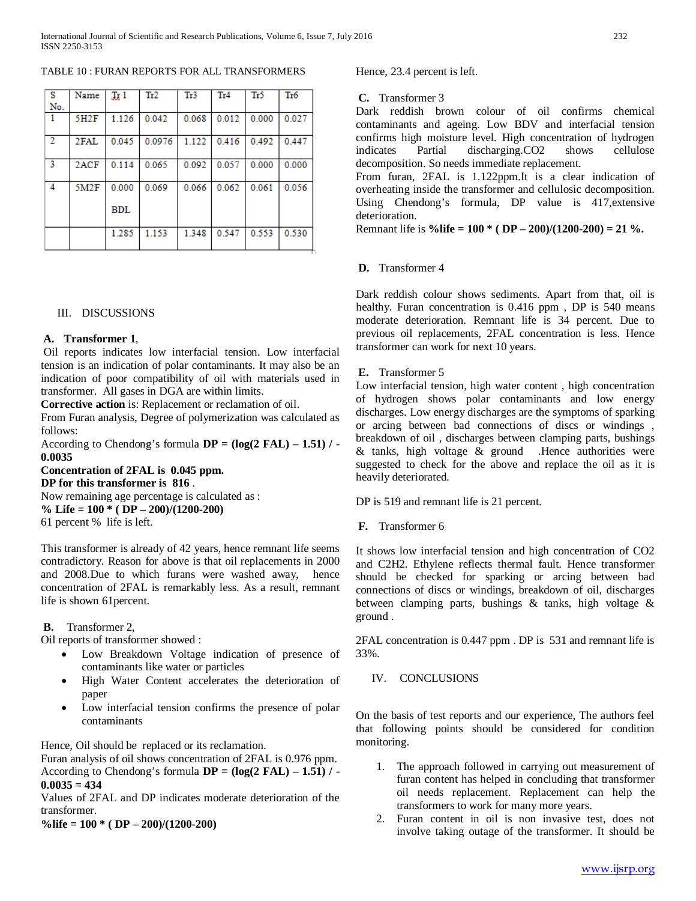TABLE 10 : FURAN REPORTS FOR ALL TRANSFORMERS

| - S            | Name | Jx1        | Tr2    | Tr3   | Tr4   | Tr5   | Tr <sub>6</sub> |
|----------------|------|------------|--------|-------|-------|-------|-----------------|
| No.            |      |            |        |       |       |       |                 |
| 1              | 5H2F | 1.126      | 0.042  | 0.068 | 0.012 | 0.000 | 0.027           |
| $\overline{2}$ | 2FAL | 0.045      | 0.0976 | 1.122 | 0.416 | 0.492 | 0.447           |
| 3              | 2ACF | 0.114      | 0.065  | 0.092 | 0.057 | 0.000 | 0.000           |
| 4              | 5M2F | 0.000      | 0.069  | 0.066 | 0.062 | 0.061 | 0.056           |
|                |      | <b>BDL</b> |        |       |       |       |                 |
|                |      | 1.285      | 1.153  | 1.348 | 0.547 | 0.553 | 0.530           |

## III. DISCUSSIONS

#### **A. Transformer 1**,

Oil reports indicates low interfacial tension. Low interfacial tension is an indication of polar contaminants. It may also be an indication of poor compatibility of oil with materials used in transformer. All gases in DGA are within limits.

**Corrective action** is: Replacement or reclamation of oil.

From Furan analysis, Degree of polymerization was calculated as follows:

According to Chendong's formula **DP = (log(2 FAL) – 1.51) / - 0.0035**

**Concentration of 2FAL is 0.045 ppm. DP for this transformer is 816** . Now remaining age percentage is calculated as :

**% Life = 100 \* ( DP – 200)/(1200-200)**

61 percent % life is left.

This transformer is already of 42 years, hence remnant life seems contradictory. Reason for above is that oil replacements in 2000 and 2008.Due to which furans were washed away, hence concentration of 2FAL is remarkably less. As a result, remnant life is shown 61percent.

**B.** Transformer 2,

Oil reports of transformer showed :

- Low Breakdown Voltage indication of presence of contaminants like water or particles
- High Water Content accelerates the deterioration of paper
- Low interfacial tension confirms the presence of polar contaminants

Hence, Oil should be replaced or its reclamation.

Furan analysis of oil shows concentration of 2FAL is 0.976 ppm. According to Chendong's formula **DP = (log(2 FAL) – 1.51) / - 0.0035 = 434**

Values of 2FAL and DP indicates moderate deterioration of the transformer.

**%life = 100 \* ( DP – 200)/(1200-200)**

Hence, 23.4 percent is left.

**C.** Transformer 3

Dark reddish brown colour of oil confirms chemical contaminants and ageing. Low BDV and interfacial tension confirms high moisture level. High concentration of hydrogen indicates Partial discharging.CO2 shows cellulose decomposition. So needs immediate replacement.

From furan, 2FAL is 1.122ppm.It is a clear indication of overheating inside the transformer and cellulosic decomposition. Using Chendong's formula, DP value is 417,extensive deterioration.

Remnant life is **%life = 100 \* ( DP – 200)/(1200-200) = 21 %.**

## **D.** Transformer 4

Dark reddish colour shows sediments. Apart from that, oil is healthy. Furan concentration is 0.416 ppm, DP is 540 means moderate deterioration. Remnant life is 34 percent. Due to previous oil replacements, 2FAL concentration is less. Hence transformer can work for next 10 years.

## **E.** Transformer 5

Low interfacial tension, high water content , high concentration of hydrogen shows polar contaminants and low energy discharges. Low energy discharges are the symptoms of sparking or arcing between bad connections of discs or windings , breakdown of oil , discharges between clamping parts, bushings & tanks, high voltage & ground .Hence authorities were suggested to check for the above and replace the oil as it is heavily deteriorated.

DP is 519 and remnant life is 21 percent.

**F.** Transformer 6

It shows low interfacial tension and high concentration of CO2 and C2H2. Ethylene reflects thermal fault. Hence transformer should be checked for sparking or arcing between bad connections of discs or windings, breakdown of oil, discharges between clamping parts, bushings & tanks, high voltage & ground .

2FAL concentration is 0.447 ppm . DP is 531 and remnant life is 33%.

IV. CONCLUSIONS

On the basis of test reports and our experience, The authors feel that following points should be considered for condition monitoring.

- 1. The approach followed in carrying out measurement of furan content has helped in concluding that transformer oil needs replacement. Replacement can help the transformers to work for many more years.
- 2. Furan content in oil is non invasive test, does not involve taking outage of the transformer. It should be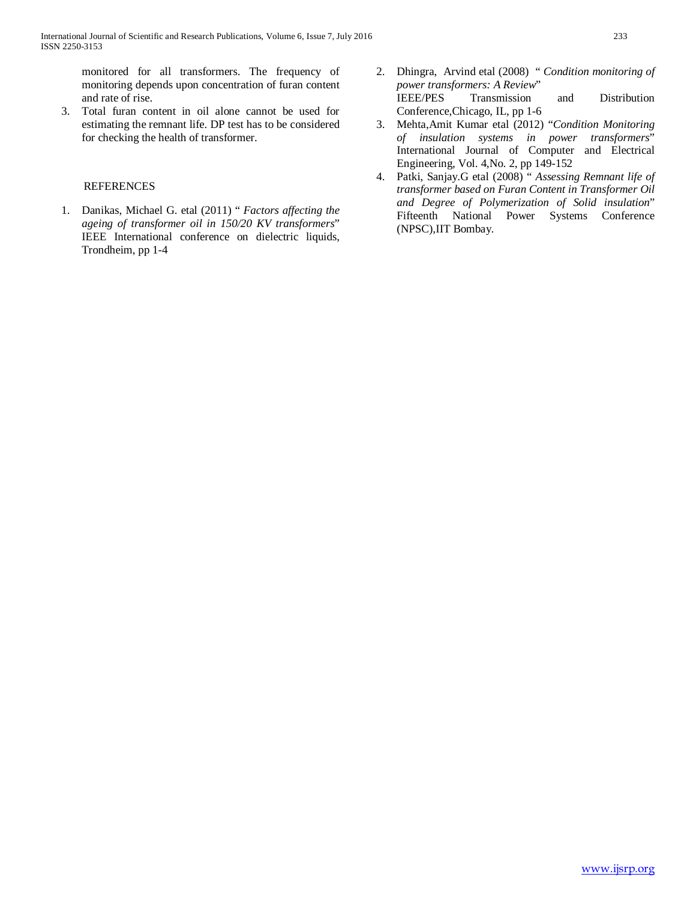monitored for all transformers. The frequency of monitoring depends upon concentration of furan content and rate of rise.

3. Total furan content in oil alone cannot be used for estimating the remnant life. DP test has to be considered for checking the health of transformer.

# REFERENCES

1. Danikas, Michael G. etal (2011) " *Factors affecting the ageing of transformer oil in 150/20 KV transformers*" IEEE International conference on dielectric liquids, Trondheim, pp 1-4

- 2. Dhingra, Arvind etal (2008) " *Condition monitoring of power transformers: A Review*" Transmission and Distribution Conference,Chicago, IL, pp 1-6
- 3. Mehta,Amit Kumar etal (2012) "*Condition Monitoring of insulation systems in power transformers*" International Journal of Computer and Electrical Engineering, Vol. 4,No. 2, pp 149-152
- 4. Patki, Sanjay.G etal (2008) " *Assessing Remnant life of transformer based on Furan Content in Transformer Oil and Degree of Polymerization of Solid insulation*" Fifteenth National Power Systems Conference (NPSC),IIT Bombay.